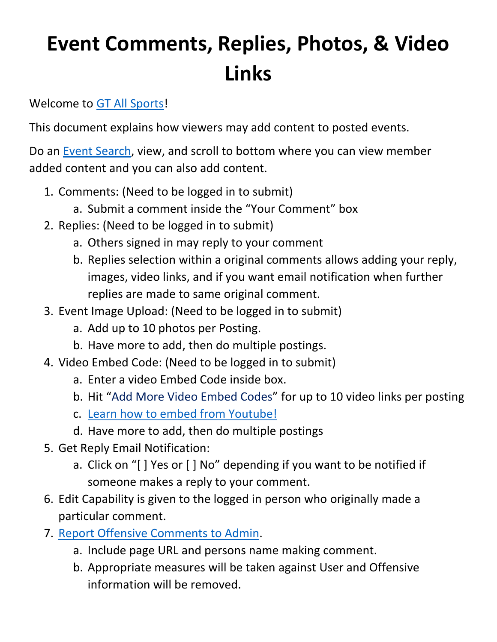## **Event Comments, Replies, Photos, & Video Links**

Welcome to [GT All Sports!](http://www.gtallsports.info/)

This document explains how viewers may add content to posted events.

Do an [Event Search,](http://www.gtallsports.info/events/search) view, and scroll to bottom where you can view member added content and you can also add content.

- 1. Comments: (Need to be logged in to submit)
	- a. Submit a comment inside the "Your Comment" box
- 2. Replies: (Need to be logged in to submit)
	- a. Others signed in may reply to your comment
	- b. Replies selection within a original comments allows adding your reply, images, video links, and if you want email notification when further replies are made to same original comment.
- 3. Event Image Upload: (Need to be logged in to submit)
	- a. Add up to 10 photos per Posting.
	- b. Have more to add, then do multiple postings.
- 4. Video Embed Code: (Need to be logged in to submit)
	- a. Enter a video Embed Code inside box.
	- b. Hit "Add More Video Embed Codes" for up to 10 video links per posting
	- c. [Learn how to embed from Youtube!](https://youtu.be/kiyi-C7NQrQ)
	- d. Have more to add, then do multiple postings
- 5. Get Reply Email Notification:
	- a. Click on "[ ] Yes or [ ] No" depending if you want to be notified if someone makes a reply to your comment.
- 6. Edit Capability is given to the logged in person who originally made a particular comment.
- 7. [Report Offensive Comments](http://www.gtallsports.info/contact-us) to Admin.
	- a. Include page URL and persons name making comment.
	- b. Appropriate measures will be taken against User and Offensive information will be removed.